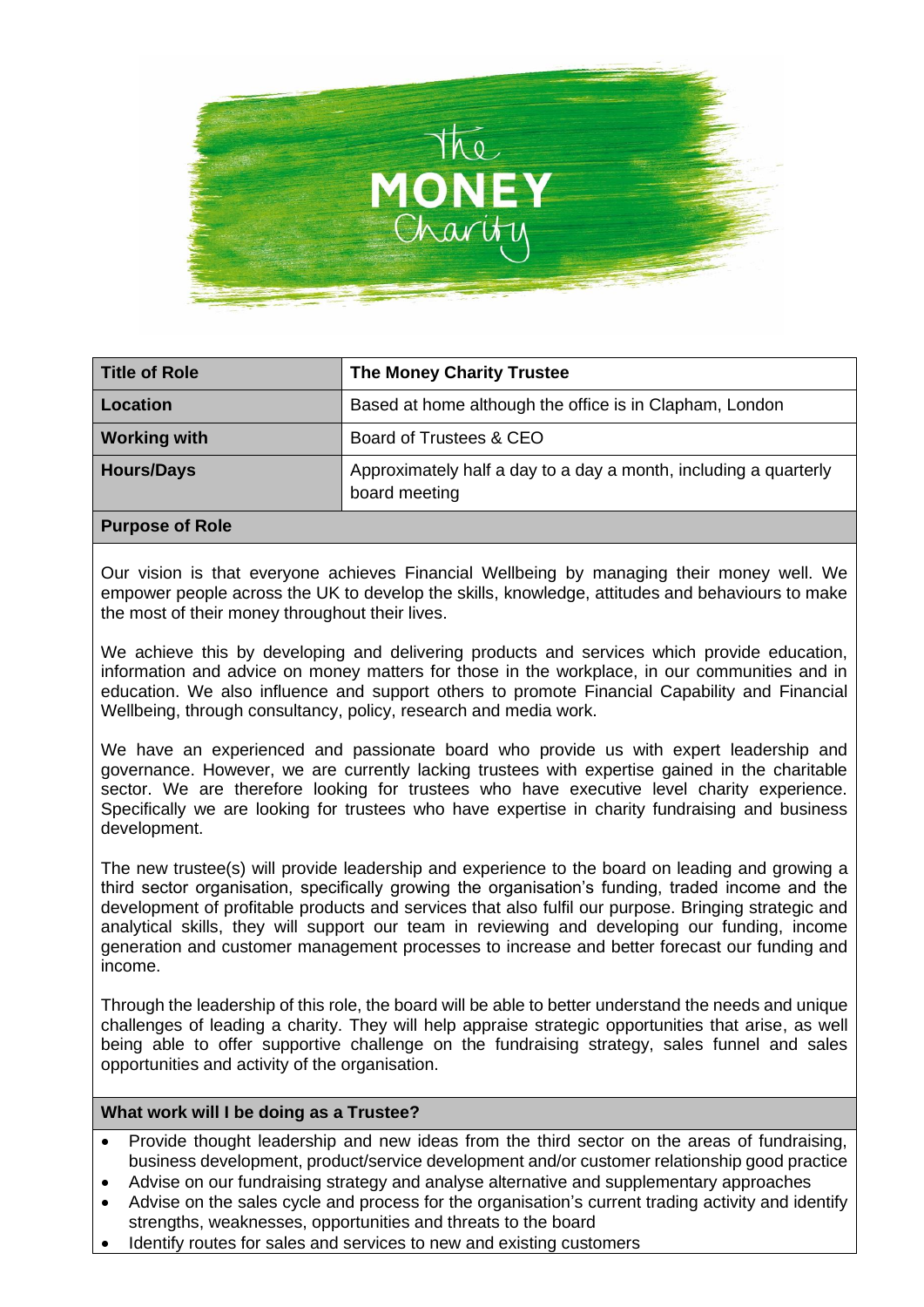

| Based at home although the office is in Clapham, London<br>Location<br><b>Working with</b><br>Board of Trustees & CEO | <b>Title of Role</b> | <b>The Money Charity Trustee</b>                                 |
|-----------------------------------------------------------------------------------------------------------------------|----------------------|------------------------------------------------------------------|
|                                                                                                                       |                      |                                                                  |
|                                                                                                                       |                      |                                                                  |
| board meeting                                                                                                         | <b>Hours/Days</b>    | Approximately half a day to a day a month, including a quarterly |

### **Purpose of Role**

Our vision is that everyone achieves Financial Wellbeing by managing their money well. We empower people across the UK to develop the skills, knowledge, attitudes and behaviours to make the most of their money throughout their lives.

We achieve this by developing and delivering products and services which provide education, information and advice on money matters for those in the workplace, in our communities and in education. We also influence and support others to promote Financial Capability and Financial Wellbeing, through consultancy, policy, research and media work.

We have an experienced and passionate board who provide us with expert leadership and governance. However, we are currently lacking trustees with expertise gained in the charitable sector. We are therefore looking for trustees who have executive level charity experience. Specifically we are looking for trustees who have expertise in charity fundraising and business development.

The new trustee(s) will provide leadership and experience to the board on leading and growing a third sector organisation, specifically growing the organisation's funding, traded income and the development of profitable products and services that also fulfil our purpose. Bringing strategic and analytical skills, they will support our team in reviewing and developing our funding, income generation and customer management processes to increase and better forecast our funding and income.

Through the leadership of this role, the board will be able to better understand the needs and unique challenges of leading a charity. They will help appraise strategic opportunities that arise, as well being able to offer supportive challenge on the fundraising strategy, sales funnel and sales opportunities and activity of the organisation.

### **What work will I be doing as a Trustee?**

- Provide thought leadership and new ideas from the third sector on the areas of fundraising, business development, product/service development and/or customer relationship good practice
- Advise on our fundraising strategy and analyse alternative and supplementary approaches
- Advise on the sales cycle and process for the organisation's current trading activity and identify strengths, weaknesses, opportunities and threats to the board
- Identify routes for sales and services to new and existing customers